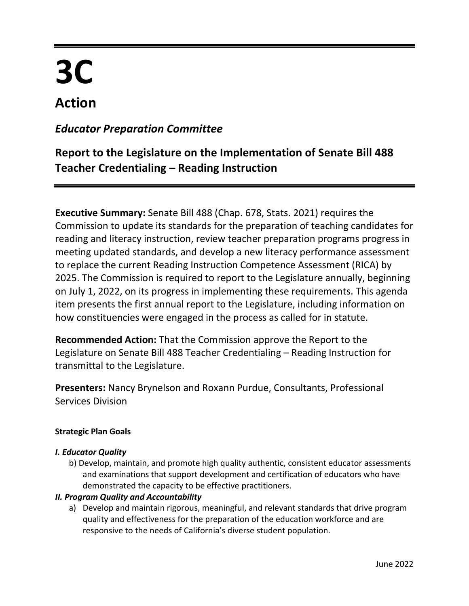# **3C**

# **Action**

# *Educator Preparation Committee*

# **Report to the Legislature on the Implementation of Senate Bill 488 Teacher Credentialing – Reading Instruction**

**Executive Summary:** Senate Bill 488 (Chap. 678, Stats. 2021) requires the Commission to update its standards for the preparation of teaching candidates for reading and literacy instruction, review teacher preparation programs progress in meeting updated standards, and develop a new literacy performance assessment to replace the current Reading Instruction Competence Assessment (RICA) by 2025. The Commission is required to report to the Legislature annually, beginning on July 1, 2022, on its progress in implementing these requirements. This agenda item presents the first annual report to the Legislature, including information on how constituencies were engaged in the process as called for in statute.

**Recommended Action:** That the Commission approve the Report to the Legislature on Senate Bill 488 Teacher Credentialing – Reading Instruction for transmittal to the Legislature.

**Presenters:** Nancy Brynelson and Roxann Purdue, Consultants, Professional Services Division

#### **Strategic Plan Goals**

#### *I. Educator Quality*

b) Develop, maintain, and promote high quality authentic, consistent educator assessments and examinations that support development and certification of educators who have demonstrated the capacity to be effective practitioners.

#### *II. Program Quality and Accountability*

a) Develop and maintain rigorous, meaningful, and relevant standards that drive program quality and effectiveness for the preparation of the education workforce and are responsive to the needs of California's diverse student population.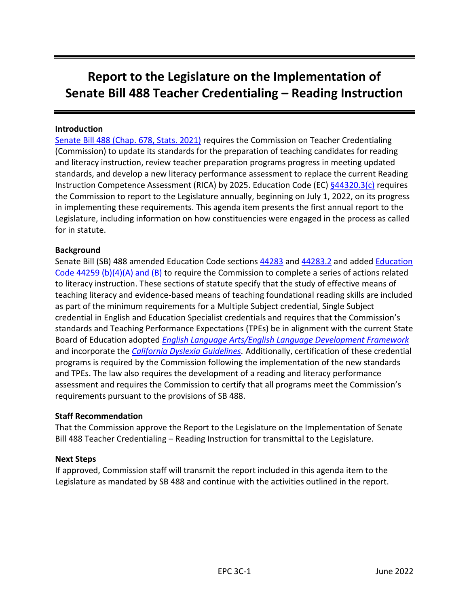# **Report to the Legislature on the Implementation of Senate Bill 488 Teacher Credentialing – Reading Instruction**

#### **Introduction**

Senate Bill [488 \(Chap. 678, Stats. 2021\)](https://leginfo.legislature.ca.gov/faces/billTextClient.xhtml?bill_id=202120220SB488) requires the Commission on Teacher Credentialing (Commission) to update its standards for the preparation of teaching candidates for reading and literacy instruction, review teacher preparation programs progress in meeting updated standards, and develop a new literacy performance assessment to replace the current Reading Instruction Competence Assessment (RICA) by 2025. Education Code (EC)  $\frac{644320.3(c)}{c}$  requires the Commission to report to the Legislature annually, beginning on July 1, 2022, on its progress in implementing these requirements. This agenda item presents the first annual report to the Legislature, including information on how constituencies were engaged in the process as called for in statute.

#### **Background**

Senate Bill (SB) 488 amended Education Code sections [44283](https://leginfo.legislature.ca.gov/faces/codes_displaySection.xhtml?sectionNum=44283&lawCode=EDC) and [44283.2](https://leginfo.legislature.ca.gov/faces/codes_displaySection.xhtml?sectionNum=44283.2&lawCode=EDC) and added [Education](https://leginfo.legislature.ca.gov/faces/codes_displaySection.xhtml?sectionNum=44259.&lawCode=EDC)  [Code 44259 \(b\)\(4\)\(A\) and \(B\)](https://leginfo.legislature.ca.gov/faces/codes_displaySection.xhtml?sectionNum=44259.&lawCode=EDC) to require the Commission to complete a series of actions related to literacy instruction. These sections of statute specify that the study of effective means of teaching literacy and evidence-based means of teaching foundational reading skills are included as part of the minimum requirements for a Multiple Subject credential, Single Subject credential in English and Education Specialist credentials and requires that the Commission's standards and Teaching Performance Expectations (TPEs) be in alignment with the current State Board of Education adopted *[English Language Arts/English Language Development Framework](https://www.cde.ca.gov/ci/rl/cf/elaeldfrmwrksbeadopted.asp)* and incorporate the *[California Dyslexia Guidelines.](https://www.cde.ca.gov/sp/se/ac/documents/cadyslexiaguidelines.PDF)* Additionally, certification of these credential programs is required by the Commission following the implementation of the new standards and TPEs. The law also requires the development of a reading and literacy performance assessment and requires the Commission to certify that all programs meet the Commission's requirements pursuant to the provisions of SB 488.

#### **Staff Recommendation**

That the Commission approve the Report to the Legislature on the Implementation of Senate Bill 488 Teacher Credentialing – Reading Instruction for transmittal to the Legislature.

#### **Next Steps**

If approved, Commission staff will transmit the report included in this agenda item to the Legislature as mandated by SB 488 and continue with the activities outlined in the report.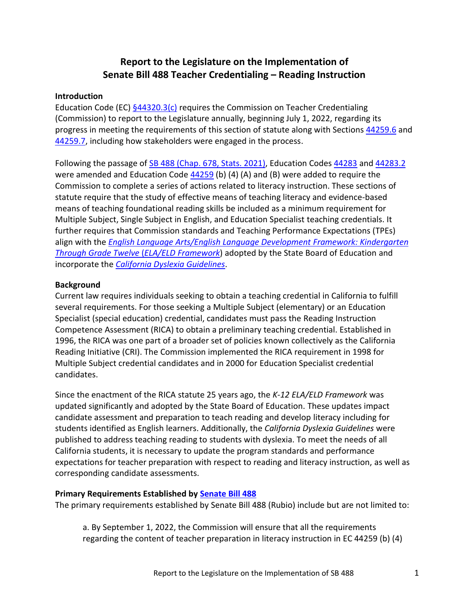## **Report to the Legislature on the Implementation of Senate Bill 488 Teacher Credentialing – Reading Instruction**

#### **Introduction**

Education Code (EC)  $\frac{644320.3(c)}{c}$  requires the Commission on Teacher Credentialing (Commission) to report to the Legislature annually, beginning July 1, 2022, regarding its progress in meeting the requirements of this section of statute along with Sections [44259.6](https://leginfo.legislature.ca.gov/faces/codes_displaySection.xhtml?sectionNum=44259.6.&lawCode=EDC) and [44259.7,](https://leginfo.legislature.ca.gov/faces/codes_displaySection.xhtml?sectionNum=44259.7.&lawCode=EDC) including how stakeholders were engaged in the process.

Following the passage of [SB 488 \(Chap. 678, Stats. 2021\),](file:///C:/Users/rpurdue/Downloads/20210SB488_94.pdf) Education Codes [44283](https://leginfo.legislature.ca.gov/faces/codes_displaySection.xhtml?sectionNum=44283.&lawCode=EDC) and [44283.2](https://leginfo.legislature.ca.gov/faces/codes_displaySection.xhtml?sectionNum=44283.2.&lawCode=EDC) were amended and Education Code [44259](https://leginfo.legislature.ca.gov/faces/codes_displaySection.xhtml?sectionNum=44259.&lawCode=EDC) (b) (4) (A) and (B) were added to require the Commission to complete a series of actions related to literacy instruction. These sections of statute require that the study of effective means of teaching literacy and evidence-based means of teaching foundational reading skills be included as a minimum requirement for Multiple Subject, Single Subject in English, and Education Specialist teaching credentials. It further requires that Commission standards and Teaching Performance Expectations (TPEs) align with the *[English Language Arts/English Language Development](https://www.cde.ca.gov/ci/rl/cf/elaeldfrmwrksbeadopted.asp) Framework: Kindergarten [Through Grade Twelve](https://www.cde.ca.gov/ci/rl/cf/elaeldfrmwrksbeadopted.asp)* (*ELA/ELD Framework*) adopted by the State Board of Education and incorporate the *[California Dyslexia Guidelines](https://www.cde.ca.gov/sp/se/ac/documents/cadyslexiaguidelines.pdf)*.

#### **Background**

Current law requires individuals seeking to obtain a teaching credential in California to fulfill several requirements. For those seeking a Multiple Subject (elementary) or an Education Specialist (special education) credential, candidates must pass the Reading Instruction Competence Assessment (RICA) to obtain a preliminary teaching credential. Established in 1996, the RICA was one part of a broader set of policies known collectively as the California Reading Initiative (CRI). The Commission implemented the RICA requirement in 1998 for Multiple Subject credential candidates and in 2000 for Education Specialist credential candidates.

Since the enactment of the RICA statute 25 years ago, the *K-12 ELA/ELD Framework* was updated significantly and adopted by the State Board of Education. These updates impact candidate assessment and preparation to teach reading and develop literacy including for students identified as English learners. Additionally, the *California Dyslexia Guidelines* were published to address teaching reading to students with dyslexia. To meet the needs of all California students, it is necessary to update the program standards and performance expectations for teacher preparation with respect to reading and literacy instruction, as well as corresponding candidate assessments.

#### **Primary Requirements Established by [Senate Bill 488](https://leginfo.legislature.ca.gov/faces/billCompareClient.xhtml?bill_id=202120220SB488&showamends=false)**

The primary requirements established by Senate Bill 488 (Rubio) include but are not limited to:

a. By September 1, 2022, the Commission will ensure that all the requirements regarding the content of teacher preparation in literacy instruction in EC 44259 (b) (4)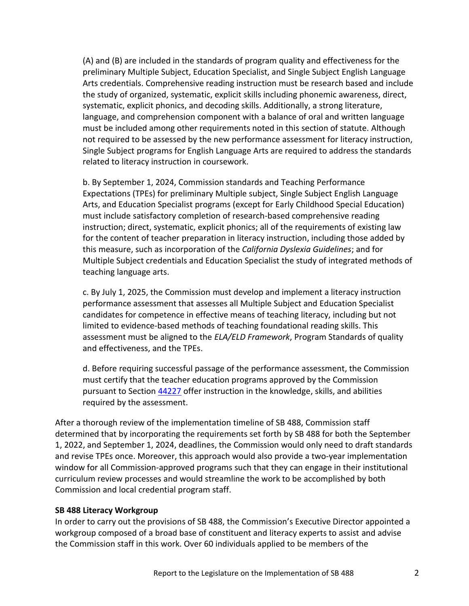(A) and (B) are included in the standards of program quality and effectiveness for the preliminary Multiple Subject, Education Specialist, and Single Subject English Language Arts credentials. Comprehensive reading instruction must be research based and include the study of organized, systematic, explicit skills including phonemic awareness, direct, systematic, explicit phonics, and decoding skills. Additionally, a strong literature, language, and comprehension component with a balance of oral and written language must be included among other requirements noted in this section of statute. Although not required to be assessed by the new performance assessment for literacy instruction, Single Subject programs for English Language Arts are required to address the standards related to literacy instruction in coursework.

b. By September 1, 2024, Commission standards and Teaching Performance Expectations (TPEs) for preliminary Multiple subject, Single Subject English Language Arts, and Education Specialist programs (except for Early Childhood Special Education) must include satisfactory completion of research-based comprehensive reading instruction; direct, systematic, explicit phonics; all of the requirements of existing law for the content of teacher preparation in literacy instruction, including those added by this measure, such as incorporation of the *California Dyslexia Guidelines*; and for Multiple Subject credentials and Education Specialist the study of integrated methods of teaching language arts.

c. By July 1, 2025, the Commission must develop and implement a literacy instruction performance assessment that assesses all Multiple Subject and Education Specialist candidates for competence in effective means of teaching literacy, including but not limited to evidence-based methods of teaching foundational reading skills. This assessment must be aligned to the *ELA/ELD Framework*, Program Standards of quality and effectiveness, and the TPEs.

d. Before requiring successful passage of the performance assessment, the Commission must certify that the teacher education programs approved by the Commission pursuant to Section [44227](https://leginfo.legislature.ca.gov/faces/codes_displaySection.xhtml?sectionNum=44227.&lawCode=EDC) offer instruction in the knowledge, skills, and abilities required by the assessment.

After a thorough review of the implementation timeline of SB 488, Commission staff determined that by incorporating the requirements set forth by SB 488 for both the September 1, 2022, and September 1, 2024, deadlines, the Commission would only need to draft standards and revise TPEs once. Moreover, this approach would also provide a two-year implementation window for all Commission-approved programs such that they can engage in their institutional curriculum review processes and would streamline the work to be accomplished by both Commission and local credential program staff.

#### **SB 488 Literacy Workgroup**

In order to carry out the provisions of SB 488, the Commission's Executive Director appointed a workgroup composed of a broad base of constituent and literacy experts to assist and advise the Commission staff in this work. Over 60 individuals applied to be members of the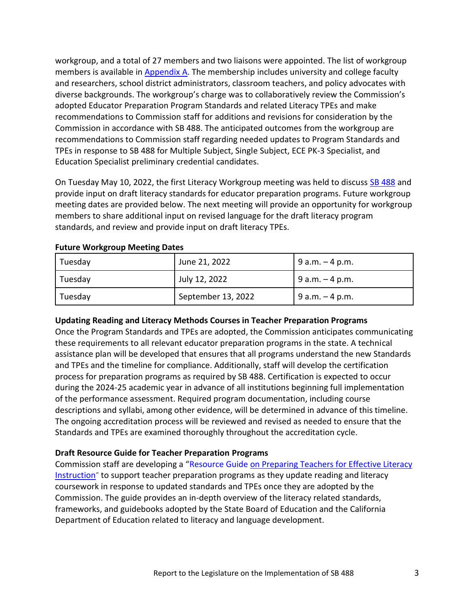workgroup, and a total of 27 members and two liaisons were appointed. The list of workgroup members is available in [Appendix A.](#page-6-0) The membership includes university and college faculty and researchers, school district administrators, classroom teachers, and policy advocates with diverse backgrounds. The workgroup's charge was to collaboratively review the Commission's adopted Educator Preparation Program Standards and related Literacy TPEs and make recommendations to Commission staff for additions and revisions for consideration by the Commission in accordance with SB 488. The anticipated outcomes from the workgroup are recommendations to Commission staff regarding needed updates to Program Standards and TPEs in response to SB 488 for Multiple Subject, Single Subject, ECE PK-3 Specialist, and Education Specialist preliminary credential candidates.

On Tuesday May 10, 2022, the first Literacy Workgroup meeting was held to discuss [SB 488](https://gcc02.safelinks.protection.outlook.com/?url=https%3A%2F%2Fctc.us8.list-manage.com%2Ftrack%2Fclick%3Fu%3D3b1ee2685eeb45f5a7a88b555%26id%3D1004b96060%26e%3D04a58a05c1&data=05%7C01%7Cliteracy%40ctc.ca.gov%7C6b6ec194530b4bee9b4c08da339086ff%7C78276a93cafd497081b54e5074e42910%7C0%7C0%7C637878993085742528%7CUnknown%7CTWFpbGZsb3d8eyJWIjoiMC4wLjAwMDAiLCJQIjoiV2luMzIiLCJBTiI6Ik1haWwiLCJXVCI6Mn0%3D%7C3000%7C%7C%7C&sdata=OsIEULa1%2Btwh8VrWkj%2Fc%2FWQ5mFhUhYqZj5RYXssq7Yw%3D&reserved=0) and provide input on draft literacy standards for educator preparation programs. Future workgroup meeting dates are provided below. The next meeting will provide an opportunity for workgroup members to share additional input on revised language for the draft literacy program standards, and review and provide input on draft literacy TPEs.

| Tuesday   | June 21, 2022      | $9a.m. - 4p.m.$   |
|-----------|--------------------|-------------------|
| Tuesday   | July 12, 2022      | $9 a.m. - 4 p.m.$ |
| ' Tuesday | September 13, 2022 | $9 a.m. - 4 p.m.$ |

#### **Future Workgroup Meeting Dates**

#### **Updating Reading and Literacy Methods Courses in Teacher Preparation Programs**

Once the Program Standards and TPEs are adopted, the Commission anticipates communicating these requirements to all relevant educator preparation programs in the state. A technical assistance plan will be developed that ensures that all programs understand the new Standards and TPEs and the timeline for compliance. Additionally, staff will develop the certification process for preparation programs as required by SB 488. Certification is expected to occur during the 2024-25 academic year in advance of all institutions beginning full implementation of the performance assessment. Required program documentation, including course descriptions and syllabi, among other evidence, will be determined in advance of this timeline. The ongoing accreditation process will be reviewed and revised as needed to ensure that the Standards and TPEs are examined thoroughly throughout the accreditation cycle.

#### **Draft Resource Guide for Teacher Preparation Programs**

Commission staff are developing a "[Resource Guide on Preparing Teachers for Effective Literacy](https://drive.google.com/file/d/1Q-kJCinQ_xFkwEJllacckLR9DTEGrCDQ/view?usp=sharing)  [Instruction](https://drive.google.com/file/d/1Q-kJCinQ_xFkwEJllacckLR9DTEGrCDQ/view?usp=sharing)" to support teacher preparation programs as they update reading and literacy coursework in response to updated standards and TPEs once they are adopted by the Commission. The guide provides an in-depth overview of the literacy related standards, frameworks, and guidebooks adopted by the State Board of Education and the California Department of Education related to literacy and language development.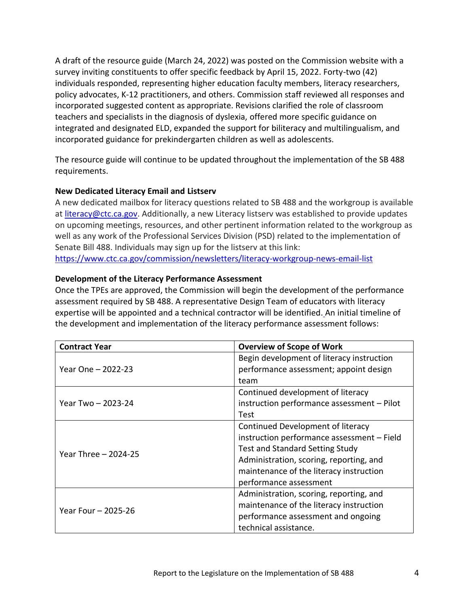A draft of the resource guide (March 24, 2022) was posted on the Commission website with a survey inviting constituents to offer specific feedback by April 15, 2022. Forty-two (42) individuals responded, representing higher education faculty members, literacy researchers, policy advocates, K-12 practitioners, and others. Commission staff reviewed all responses and incorporated suggested content as appropriate. Revisions clarified the role of classroom teachers and specialists in the diagnosis of dyslexia, offered more specific guidance on integrated and designated ELD, expanded the support for biliteracy and multilingualism, and incorporated guidance for prekindergarten children as well as adolescents.

The resource guide will continue to be updated throughout the implementation of the SB 488 requirements.

#### **New Dedicated Literacy Email and Listserv**

A new dedicated mailbox for literacy questions related to SB 488 and the workgroup is available at [literacy@ctc.ca.gov.](mailto:literacy@ctc.ca.gov) Additionally, a new Literacy listserv was established to provide updates on upcoming meetings, resources, and other pertinent information related to the workgroup as well as any work of the Professional Services Division (PSD) related to the implementation of Senate Bill 488. Individuals may sign up for the listserv at this link: [https://www.ctc.ca.gov/commission/newsletters/literacy-workgroup-news-email-list](https://gcc02.safelinks.protection.outlook.com/?url=https%3A%2F%2Fctc.us8.list-manage.com%2Ftrack%2Fclick%3Fu%3D3b1ee2685eeb45f5a7a88b555%26id%3D3596850659%26e%3D04a58a05c1&data=05%7C01%7Cliteracy%40ctc.ca.gov%7C6b6ec194530b4bee9b4c08da339086ff%7C78276a93cafd497081b54e5074e42910%7C0%7C0%7C637878993085742528%7CUnknown%7CTWFpbGZsb3d8eyJWIjoiMC4wLjAwMDAiLCJQIjoiV2luMzIiLCJBTiI6Ik1haWwiLCJXVCI6Mn0%3D%7C3000%7C%7C%7C&sdata=xl0OR8N0SxTcGrO7ShWHPpwfv9NXRcZjpqm%2B3Ir2GX0%3D&reserved=0)

#### **Development of the Literacy Performance Assessment**

Once the TPEs are approved, the Commission will begin the development of the performance assessment required by [SB 488.](file:///C:/Users/rbrown/Commission%20on%20Teacher%20Credentialing/Executive%20Team%20-%20Documents/Commission%20Agenda/Agendas/2022/06%20June/UsersrpurdueDownloads20210SB488_94.pdf) A representative Design Team of educators with literacy expertise will be appointed and a technical contractor will be identified. An initial timeline of the development and implementation of the literacy performance assessment follows:

| <b>Contract Year</b> | <b>Overview of Scope of Work</b>           |
|----------------------|--------------------------------------------|
|                      | Begin development of literacy instruction  |
| Year One – 2022-23   | performance assessment; appoint design     |
|                      | team                                       |
|                      | Continued development of literacy          |
| Year Two - 2023-24   | instruction performance assessment - Pilot |
|                      | Test                                       |
|                      | Continued Development of literacy          |
|                      | instruction performance assessment - Field |
| Year Three - 2024-25 | <b>Test and Standard Setting Study</b>     |
|                      | Administration, scoring, reporting, and    |
|                      | maintenance of the literacy instruction    |
|                      | performance assessment                     |
|                      | Administration, scoring, reporting, and    |
| Year Four - 2025-26  | maintenance of the literacy instruction    |
|                      | performance assessment and ongoing         |
|                      | technical assistance.                      |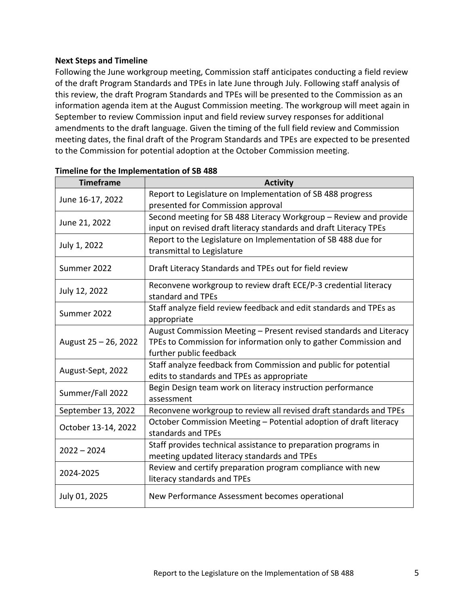#### **Next Steps and Timeline**

Following the June workgroup meeting, Commission staff anticipates conducting a field review of the draft Program Standards and TPEs in late June through July. Following staff analysis of this review, the draft Program Standards and TPEs will be presented to the Commission as an information agenda item at the August Commission meeting. The workgroup will meet again in September to review Commission input and field review survey responses for additional amendments to the draft language. Given the timing of the full field review and Commission meeting dates, the final draft of the Program Standards and TPEs are expected to be presented to the Commission for potential adoption at the October Commission meeting.

<span id="page-6-0"></span>

| <b>Timeframe</b>     | <b>Activity</b>                                                                      |
|----------------------|--------------------------------------------------------------------------------------|
| June 16-17, 2022     | Report to Legislature on Implementation of SB 488 progress                           |
|                      | presented for Commission approval                                                    |
| June 21, 2022        | Second meeting for SB 488 Literacy Workgroup - Review and provide                    |
|                      | input on revised draft literacy standards and draft Literacy TPEs                    |
| July 1, 2022         | Report to the Legislature on Implementation of SB 488 due for                        |
|                      | transmittal to Legislature                                                           |
| Summer 2022          | Draft Literacy Standards and TPEs out for field review                               |
| July 12, 2022        | Reconvene workgroup to review draft ECE/P-3 credential literacy<br>standard and TPEs |
| Summer 2022          | Staff analyze field review feedback and edit standards and TPEs as<br>appropriate    |
|                      | August Commission Meeting - Present revised standards and Literacy                   |
| August 25 - 26, 2022 | TPEs to Commission for information only to gather Commission and                     |
|                      | further public feedback                                                              |
| August-Sept, 2022    | Staff analyze feedback from Commission and public for potential                      |
|                      | edits to standards and TPEs as appropriate                                           |
| Summer/Fall 2022     | Begin Design team work on literacy instruction performance                           |
|                      | assessment                                                                           |
| September 13, 2022   | Reconvene workgroup to review all revised draft standards and TPEs                   |
| October 13-14, 2022  | October Commission Meeting - Potential adoption of draft literacy                    |
|                      | standards and TPEs                                                                   |
| $2022 - 2024$        | Staff provides technical assistance to preparation programs in                       |
|                      | meeting updated literacy standards and TPEs                                          |
| 2024-2025            | Review and certify preparation program compliance with new                           |
|                      | literacy standards and TPEs                                                          |
| July 01, 2025        | New Performance Assessment becomes operational                                       |

#### **Timeline for the Implementation of SB 488**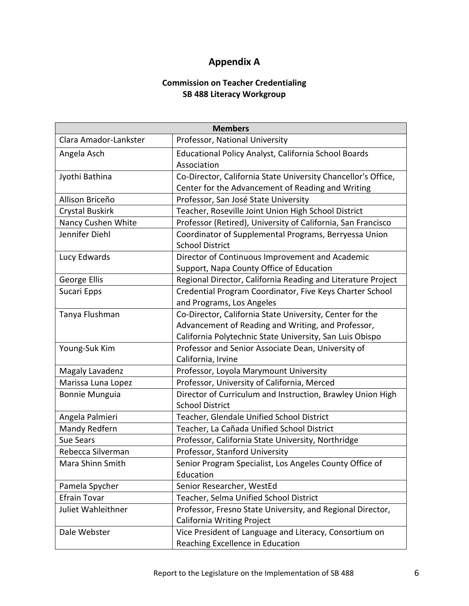### **Appendix A**

#### **Commission on Teacher Credentialing SB 488 Literacy Workgroup**

| <b>Members</b>        |                                                               |  |
|-----------------------|---------------------------------------------------------------|--|
| Clara Amador-Lankster | Professor, National University                                |  |
| Angela Asch           | Educational Policy Analyst, California School Boards          |  |
|                       | Association                                                   |  |
| Jyothi Bathina        | Co-Director, California State University Chancellor's Office, |  |
|                       | Center for the Advancement of Reading and Writing             |  |
| Allison Briceño       | Professor, San José State University                          |  |
| Crystal Buskirk       | Teacher, Roseville Joint Union High School District           |  |
| Nancy Cushen White    | Professor (Retired), University of California, San Francisco  |  |
| Jennifer Diehl        | Coordinator of Supplemental Programs, Berryessa Union         |  |
|                       | <b>School District</b>                                        |  |
| Lucy Edwards          | Director of Continuous Improvement and Academic               |  |
|                       | Support, Napa County Office of Education                      |  |
| George Ellis          | Regional Director, California Reading and Literature Project  |  |
| Sucari Epps           | Credential Program Coordinator, Five Keys Charter School      |  |
|                       | and Programs, Los Angeles                                     |  |
| Tanya Flushman        | Co-Director, California State University, Center for the      |  |
|                       | Advancement of Reading and Writing, and Professor,            |  |
|                       | California Polytechnic State University, San Luis Obispo      |  |
| Young-Suk Kim         | Professor and Senior Associate Dean, University of            |  |
|                       | California, Irvine                                            |  |
| Magaly Lavadenz       | Professor, Loyola Marymount University                        |  |
| Marissa Luna Lopez    | Professor, University of California, Merced                   |  |
| <b>Bonnie Munguia</b> | Director of Curriculum and Instruction, Brawley Union High    |  |
|                       | <b>School District</b>                                        |  |
| Angela Palmieri       | Teacher, Glendale Unified School District                     |  |
| Mandy Redfern         | Teacher, La Cañada Unified School District                    |  |
| <b>Sue Sears</b>      | Professor, California State University, Northridge            |  |
| Rebecca Silverman     | Professor, Stanford University                                |  |
| Mara Shinn Smith      | Senior Program Specialist, Los Angeles County Office of       |  |
|                       | Education                                                     |  |
| Pamela Spycher        | Senior Researcher, WestEd                                     |  |
| <b>Efrain Tovar</b>   | Teacher, Selma Unified School District                        |  |
| Juliet Wahleithner    | Professor, Fresno State University, and Regional Director,    |  |
|                       | <b>California Writing Project</b>                             |  |
| Dale Webster          | Vice President of Language and Literacy, Consortium on        |  |
|                       | Reaching Excellence in Education                              |  |